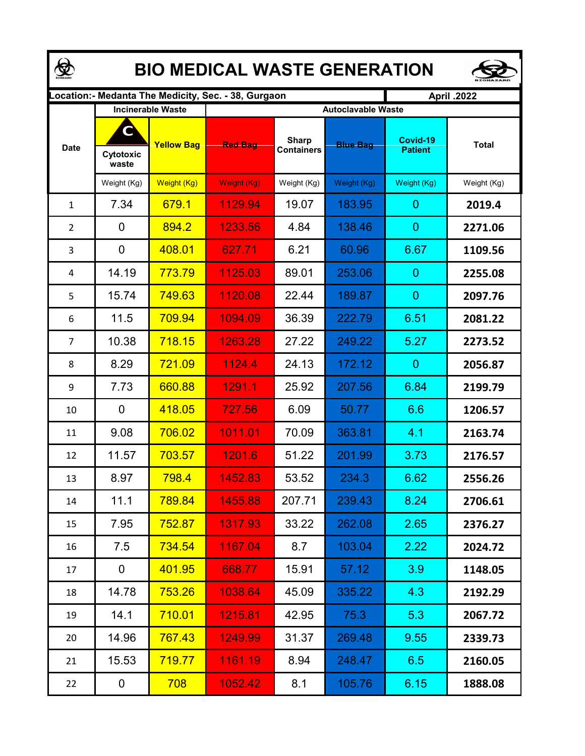|                | <b>BIO MEDICAL WASTE GENERATION</b> |                          |                                                     |                                   |                           |                            |              |  |  |
|----------------|-------------------------------------|--------------------------|-----------------------------------------------------|-----------------------------------|---------------------------|----------------------------|--------------|--|--|
|                |                                     |                          | .ocation:- Medanta The Medicity, Sec. - 38, Gurgaon | <b>April .2022</b>                |                           |                            |              |  |  |
|                |                                     | <b>Incinerable Waste</b> |                                                     |                                   | <b>Autoclavable Waste</b> |                            |              |  |  |
| <b>Date</b>    | C<br>Cytotoxic<br>waste             | <b>Yellow Bag</b>        | <b>Red Bag</b>                                      | <b>Sharp</b><br><b>Containers</b> | <b>Blue Bag</b>           | Covid-19<br><b>Patient</b> | <b>Total</b> |  |  |
|                | Weight (Kg)                         | Weight (Kg)              | Weight (Kg)                                         | Weight (Kg)                       | Weight (Kg)               | Weight (Kg)                | Weight (Kg)  |  |  |
| $\mathbf{1}$   | 7.34                                | 679.1                    | 1129.94                                             | 19.07                             | 183.95                    | 0                          | 2019.4       |  |  |
| $\overline{2}$ | 0                                   | 894.2                    | 1233.56                                             | 4.84                              | 138.46                    | 0                          | 2271.06      |  |  |
| 3              | 0                                   | 408.01                   | 627.71                                              | 6.21                              | 60.96                     | 6.67                       | 1109.56      |  |  |
| 4              | 14.19                               | 773.79                   | 1125.03                                             | 89.01                             | 253.06                    | 0                          | 2255.08      |  |  |
| 5              | 15.74                               | 749.63                   | 1120.08                                             | 22.44                             | 189.87                    | 0                          | 2097.76      |  |  |
| 6              | 11.5                                | 709.94                   | 1094.09                                             | 36.39                             | 222.79                    | 6.51                       | 2081.22      |  |  |
| $\overline{7}$ | 10.38                               | 718.15                   | 1263.28                                             | 27.22                             | 249.22                    | 5.27                       | 2273.52      |  |  |
| 8              | 8.29                                | 721.09                   | 1124.4                                              | 24.13                             | 172.12                    | 0                          | 2056.87      |  |  |
| 9              | 7.73                                | 660.88                   | 1291.1                                              | 25.92                             | 207.56                    | 6.84                       | 2199.79      |  |  |
| 10             | $\mathbf 0$                         | 418.05                   | 727.56                                              | 6.09                              | 50.77                     | 6.6                        | 1206.57      |  |  |
| 11             | 9.08                                | 706.02                   | 1011.01                                             | 70.09                             | 363.81                    | 4.1                        | 2163.74      |  |  |
| 12             | 11.57                               | 703.57                   | 1201.6                                              | 51.22                             | 201.99                    | 3.73                       | 2176.57      |  |  |
| 13             | 8.97                                | <mark>798.4</mark>       | 1452.83                                             | 53.52                             | 234.3                     | 6.62                       | 2556.26      |  |  |
| 14             | 11.1                                | 789.84                   | 1455.88                                             | 207.71                            | 239.43                    | 8.24                       | 2706.61      |  |  |
| 15             | 7.95                                | 752.87                   | 1317.93                                             | 33.22                             | 262.08                    | 2.65                       | 2376.27      |  |  |
| 16             | 7.5                                 | <b>734.54</b>            | 1167.04                                             | 8.7                               | 103.04                    | 2.22                       | 2024.72      |  |  |
| 17             | $\mathbf 0$                         | 401.95                   | 668.77                                              | 15.91                             | 57.12                     | 3.9                        | 1148.05      |  |  |
| 18             | 14.78                               | 753.26                   | 1038.64                                             | 45.09                             | 335.22                    | 4.3                        | 2192.29      |  |  |
| 19             | 14.1                                | 710.01                   | 1215.81                                             | 42.95                             | 75.3                      | 5.3                        | 2067.72      |  |  |
| 20             | 14.96                               | 767.43                   | 1249.99                                             | 31.37                             | 269.48                    | 9.55                       | 2339.73      |  |  |
| 21             | 15.53                               | 719.77                   | 1161.19                                             | 8.94                              | 248.47                    | 6.5                        | 2160.05      |  |  |
| 22             | 0                                   | 708                      | 1052.42                                             | 8.1                               | 105.76                    | 6.15                       | 1888.08      |  |  |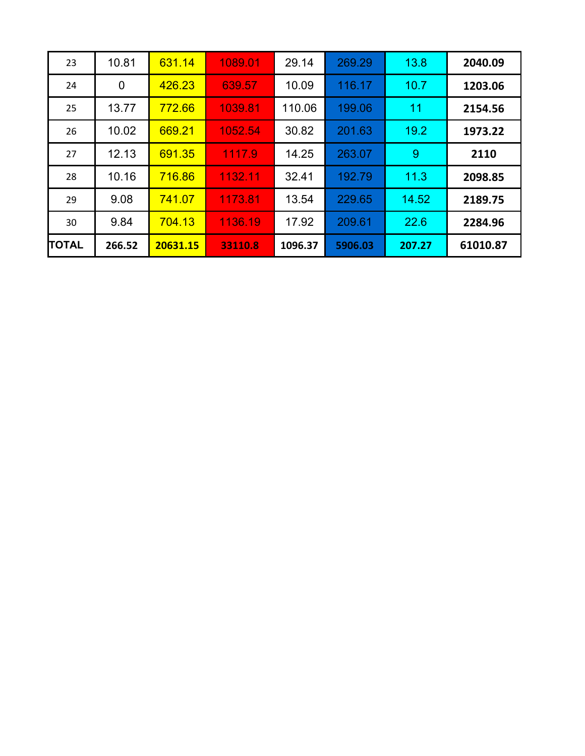| 2040.09  | 13.8   | 269.29  | 29.14   | 1089.01 | 631.14   | 10.81  | 23           |
|----------|--------|---------|---------|---------|----------|--------|--------------|
| 1203.06  | 10.7   | 116.17  | 10.09   | 639.57  | 426.23   | 0      | 24           |
| 2154.56  | 11     | 199.06  | 110.06  | 1039.81 | 772.66   | 13.77  | 25           |
| 1973.22  | 19.2   | 201.63  | 30.82   | 1052.54 | 669.21   | 10.02  | 26           |
| 2110     | 9      | 263.07  | 14.25   | 1117.9  | 691.35   | 12.13  | 27           |
| 2098.85  | 11.3   | 192.79  | 32.41   | 1132.11 | 716.86   | 10.16  | 28           |
| 2189.75  | 14.52  | 229.65  | 13.54   | 1173.81 | 741.07   | 9.08   | 29           |
| 2284.96  | 22.6   | 209.61  | 17.92   | 1136.19 | 704.13   | 9.84   | 30           |
| 61010.87 | 207.27 | 5906.03 | 1096.37 | 33110.8 | 20631.15 | 266.52 | <b>TOTAL</b> |